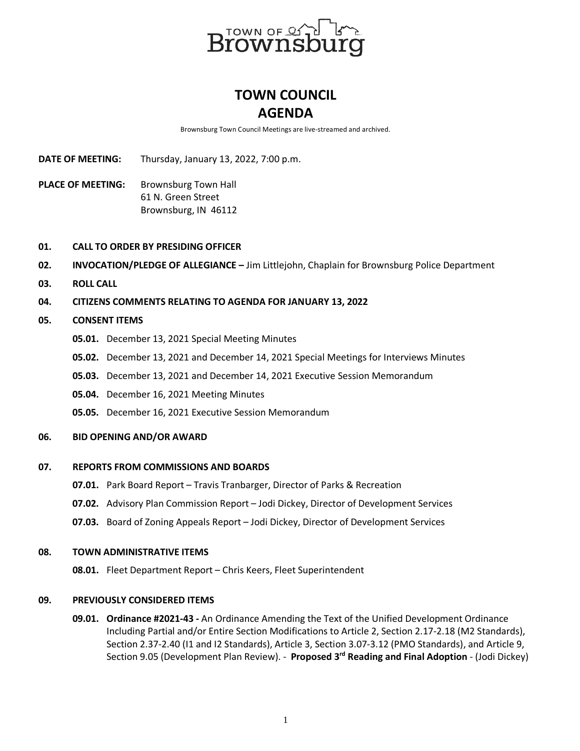

# **TOWN COUNCIL AGENDA**

Brownsburg Town Council Meetings are live-streamed and archived.

**DATE OF MEETING:** Thursday, January 13, 2022, 7:00 p.m.

- PLACE OF MEETING: Brownsburg Town Hall 61 N. Green Street Brownsburg, IN 46112
- **01. CALL TO ORDER BY PRESIDING OFFICER**
- **02. INVOCATION/PLEDGE OF ALLEGIANCE –** Jim Littlejohn, Chaplain for Brownsburg Police Department
- **03. ROLL CALL**
- **04. CITIZENS COMMENTS RELATING TO AGENDA FOR JANUARY 13, 2022**

## **05. CONSENT ITEMS**

- **05.01.** December 13, 2021 Special Meeting Minutes
- **05.02.** December 13, 2021 and December 14, 2021 Special Meetings for Interviews Minutes
- **05.03.** December 13, 2021 and December 14, 2021 Executive Session Memorandum
- **05.04.** December 16, 2021 Meeting Minutes
- **05.05.** December 16, 2021 Executive Session Memorandum
- **06. BID OPENING AND/OR AWARD**

#### **07. REPORTS FROM COMMISSIONS AND BOARDS**

- **07.01.** Park Board Report Travis Tranbarger, Director of Parks & Recreation
- **07.02.** Advisory Plan Commission Report Jodi Dickey, Director of Development Services
- **07.03.** Board of Zoning Appeals Report Jodi Dickey, Director of Development Services

#### **08. TOWN ADMINISTRATIVE ITEMS**

**08.01.** Fleet Department Report – Chris Keers, Fleet Superintendent

### **09. PREVIOUSLY CONSIDERED ITEMS**

**09.01. Ordinance #2021-43 -** An Ordinance Amending the Text of the Unified Development Ordinance Including Partial and/or Entire Section Modifications to Article 2, Section 2.17-2.18 (M2 Standards), Section 2.37-2.40 (I1 and I2 Standards), Article 3, Section 3.07-3.12 (PMO Standards), and Article 9, Section 9.05 (Development Plan Review). - **Proposed 3rd Reading and Final Adoption** - (Jodi Dickey)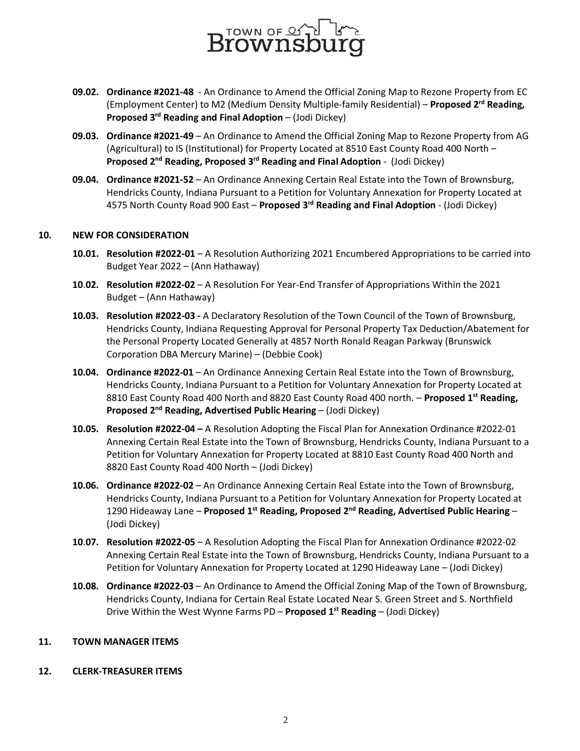

- **09.02. Ordinance #2021-48** An Ordinance to Amend the Official Zoning Map to Rezone Property from EC (Employment Center) to M2 (Medium Density Multiple-family Residential) – **Proposed 2rd Reading, Proposed 3rd Reading and Final Adoption** – (Jodi Dickey)
- **09.03. Ordinance #2021-49** An Ordinance to Amend the Official Zoning Map to Rezone Property from AG (Agricultural) to IS (Institutional) for Property Located at 8510 East County Road 400 North – **Proposed 2nd Reading, Proposed 3rd Reading and Final Adoption** - (Jodi Dickey)
- **09.04. Ordinance #2021-52** An Ordinance Annexing Certain Real Estate into the Town of Brownsburg, Hendricks County, Indiana Pursuant to a Petition for Voluntary Annexation for Property Located at 4575 North County Road 900 East – **Proposed 3rd Reading and Final Adoption** - (Jodi Dickey)

## **10. NEW FOR CONSIDERATION**

- **10.01. Resolution #2022-01**  A Resolution Authorizing 2021 Encumbered Appropriations to be carried into Budget Year 2022 – (Ann Hathaway)
- **10**.**02. Resolution #2022-02** A Resolution For Year-End Transfer of Appropriations Within the 2021 Budget – (Ann Hathaway)
- **10.03. Resolution #2022-03 -** A Declaratory Resolution of the Town Council of the Town of Brownsburg, Hendricks County, Indiana Requesting Approval for Personal Property Tax Deduction/Abatement for the Personal Property Located Generally at 4857 North Ronald Reagan Parkway (Brunswick Corporation DBA Mercury Marine) – (Debbie Cook)
- **10.04. Ordinance #2022-01** An Ordinance Annexing Certain Real Estate into the Town of Brownsburg, Hendricks County, Indiana Pursuant to a Petition for Voluntary Annexation for Property Located at 8810 East County Road 400 North and 8820 East County Road 400 north. – **Proposed 1st Reading, Proposed 2<sup>nd</sup> Reading, Advertised Public Hearing – (Jodi Dickey)**
- **10.05. Resolution #2022-04 –** A Resolution Adopting the Fiscal Plan for Annexation Ordinance #2022-01 Annexing Certain Real Estate into the Town of Brownsburg, Hendricks County, Indiana Pursuant to a Petition for Voluntary Annexation for Property Located at 8810 East County Road 400 North and 8820 East County Road 400 North – (Jodi Dickey)
- **10.06. Ordinance #2022-02** An Ordinance Annexing Certain Real Estate into the Town of Brownsburg, Hendricks County, Indiana Pursuant to a Petition for Voluntary Annexation for Property Located at 1290 Hideaway Lane – **Proposed 1st Reading, Proposed 2nd Reading, Advertised Public Hearing** – (Jodi Dickey)
- **10**.**07. Resolution #2022-05** A Resolution Adopting the Fiscal Plan for Annexation Ordinance #2022-02 Annexing Certain Real Estate into the Town of Brownsburg, Hendricks County, Indiana Pursuant to a Petition for Voluntary Annexation for Property Located at 1290 Hideaway Lane – (Jodi Dickey)
- **10.08. Ordinance #2022-03** An Ordinance to Amend the Official Zoning Map of the Town of Brownsburg, Hendricks County, Indiana for Certain Real Estate Located Near S. Green Street and S. Northfield Drive Within the West Wynne Farms PD – **Proposed 1st Reading** – (Jodi Dickey)

## **11. TOWN MANAGER ITEMS**

## **12. CLERK-TREASURER ITEMS**